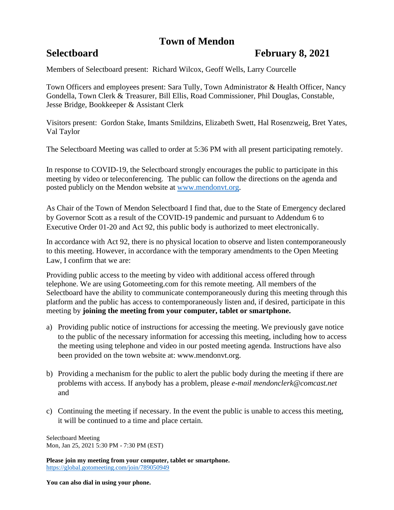# **Town of Mendon**

## **Selectboard February 8, 2021**

Members of Selectboard present: Richard Wilcox, Geoff Wells, Larry Courcelle

Town Officers and employees present: Sara Tully, Town Administrator & Health Officer, Nancy Gondella, Town Clerk & Treasurer, Bill Ellis, Road Commissioner, Phil Douglas, Constable, Jesse Bridge, Bookkeeper & Assistant Clerk

Visitors present: Gordon Stake, Imants Smildzins, Elizabeth Swett, Hal Rosenzweig, Bret Yates, Val Taylor

The Selectboard Meeting was called to order at 5:36 PM with all present participating remotely.

In response to COVID-19, the Selectboard strongly encourages the public to participate in this meeting by video or teleconferencing. The public can follow the directions on the agenda and posted publicly on the Mendon website at [www.mendonvt.org.](http://www.mendonvt.org/)

As Chair of the Town of Mendon Selectboard I find that, due to the State of Emergency declared by Governor Scott as a result of the COVID-19 pandemic and pursuant to Addendum 6 to Executive Order 01-20 and Act 92, this public body is authorized to meet electronically.

In accordance with Act 92, there is no physical location to observe and listen contemporaneously to this meeting. However, in accordance with the temporary amendments to the Open Meeting Law, I confirm that we are:

Providing public access to the meeting by video with additional access offered through telephone. We are using Gotomeeting.com for this remote meeting. All members of the Selectboard have the ability to communicate contemporaneously during this meeting through this platform and the public has access to contemporaneously listen and, if desired, participate in this meeting by **joining the meeting from your computer, tablet or smartphone.** 

- a) Providing public notice of instructions for accessing the meeting. We previously gave notice to the public of the necessary information for accessing this meeting, including how to access the meeting using telephone and video in our posted meeting agenda. Instructions have also been provided on the town website at: www.mendonvt.org.
- b) Providing a mechanism for the public to alert the public body during the meeting if there are problems with access. If anybody has a problem, please *e-mail mendonclerk@comcast.net* and
- c) Continuing the meeting if necessary. In the event the public is unable to access this meeting, it will be continued to a time and place certain.

Selectboard Meeting Mon, Jan 25, 2021 5:30 PM - 7:30 PM (EST)

**Please join my meeting from your computer, tablet or smartphone.**  <https://global.gotomeeting.com/join/789050949>

**You can also dial in using your phone.**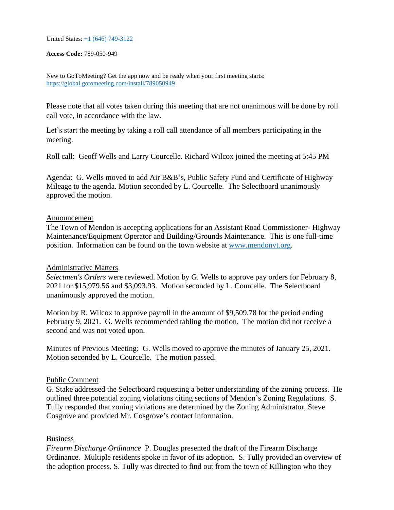United States: [+1 \(646\) 749-3122](tel:+16467493122,,789050949)

**Access Code:** 789-050-949

New to GoToMeeting? Get the app now and be ready when your first meeting starts: <https://global.gotomeeting.com/install/789050949>

Please note that all votes taken during this meeting that are not unanimous will be done by roll call vote, in accordance with the law.

Let's start the meeting by taking a roll call attendance of all members participating in the meeting.

Roll call: Geoff Wells and Larry Courcelle. Richard Wilcox joined the meeting at 5:45 PM

Agenda: G. Wells moved to add Air B&B's, Public Safety Fund and Certificate of Highway Mileage to the agenda. Motion seconded by L. Courcelle. The Selectboard unanimously approved the motion.

### Announcement

The Town of Mendon is accepting applications for an Assistant Road Commissioner- Highway Maintenance/Equipment Operator and Building/Grounds Maintenance. This is one full-time position. Information can be found on the town website at [www.mendonvt.org.](http://www.mendonvt.org/)

### Administrative Matters

*Selectmen's Orders* were reviewed. Motion by G. Wells to approve pay orders for February 8, 2021 for \$15,979.56 and \$3,093.93. Motion seconded by L. Courcelle. The Selectboard unanimously approved the motion.

Motion by R. Wilcox to approve payroll in the amount of \$9,509.78 for the period ending February 9, 2021. G. Wells recommended tabling the motion. The motion did not receive a second and was not voted upon.

Minutes of Previous Meeting: G. Wells moved to approve the minutes of January 25, 2021. Motion seconded by L. Courcelle. The motion passed.

### Public Comment

G. Stake addressed the Selectboard requesting a better understanding of the zoning process. He outlined three potential zoning violations citing sections of Mendon's Zoning Regulations. S. Tully responded that zoning violations are determined by the Zoning Administrator, Steve Cosgrove and provided Mr. Cosgrove's contact information.

### Business

*Firearm Discharge Ordinance* P. Douglas presented the draft of the Firearm Discharge Ordinance. Multiple residents spoke in favor of its adoption. S. Tully provided an overview of the adoption process. S. Tully was directed to find out from the town of Killington who they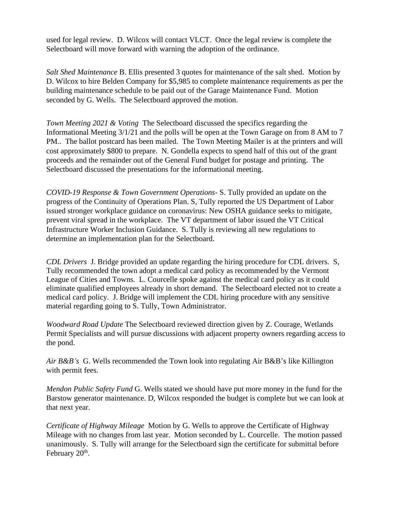used for legal review. D. Wilcox will contact VLCT. Once the legal review is complete the Selectboard will move forward with warning the adoption of the ordinance.

*Salt Shed Maintenance* B. Ellis presented 3 quotes for maintenance of the salt shed. Motion by D. Wilcox to hire Belden Company for \$5,985 to complete maintenance requirements as per the building maintenance schedule to be paid out of the Garage Maintenance Fund. Motion seconded by G. Wells. The Selectboard approved the motion.

*Town Meeting 2021 & Voting* The Selectboard discussed the specifics regarding the Informational Meeting 3/1/21 and the polls will be open at the Town Garage on from 8 AM to 7 PM.. The ballot postcard has been mailed. The Town Meeting Mailer is at the printers and will cost approximately \$800 to prepare. N. Gondella expects to spend half of this out of the grant proceeds and the remainder out of the General Fund budget for postage and printing. The Selectboard discussed the presentations for the informational meeting.

*COVID-19 Response & Town Government Operations*- S. Tully provided an update on the progress of the Continuity of Operations Plan. S, Tully reported the US Department of Labor issued stronger workplace guidance on coronavirus: New OSHA guidance seeks to mitigate, prevent viral spread in the workplace. The VT department of labor issued the VT Critical Infrastructure Worker Inclusion Guidance. S. Tully is reviewing all new regulations to determine an implementation plan for the Selectboard.

*CDL Drivers* J. Bridge provided an update regarding the hiring procedure for CDL drivers. S, Tully recommended the town adopt a medical card policy as recommended by the Vermont League of Cities and Towns. L. Courcelle spoke against the medical card policy as it could eliminate qualified employees already in short demand. The Selectboard elected not to create a medical card policy. J. Bridge will implement the CDL hiring procedure with any sensitive material regarding going to S. Tully, Town Administrator.

*Woodward Road Update* The Selectboard reviewed direction given by Z. Courage, Wetlands Permit Specialists and will pursue discussions with adjacent property owners regarding access to the pond.

*Air B&B's* G. Wells recommended the Town look into regulating Air B&B's like Killington with permit fees.

*Mendon Public Safety Fund* G. Wells stated we should have put more money in the fund for the Barstow generator maintenance. D, Wilcox responded the budget is complete but we can look at that next year.

*Certificate of Highway Mileage* Motion by G. Wells to approve the Certificate of Highway Mileage with no changes from last year. Motion seconded by L. Courcelle. The motion passed unanimously. S. Tully will arrange for the Selectboard sign the certificate for submittal before February 20<sup>th</sup>.